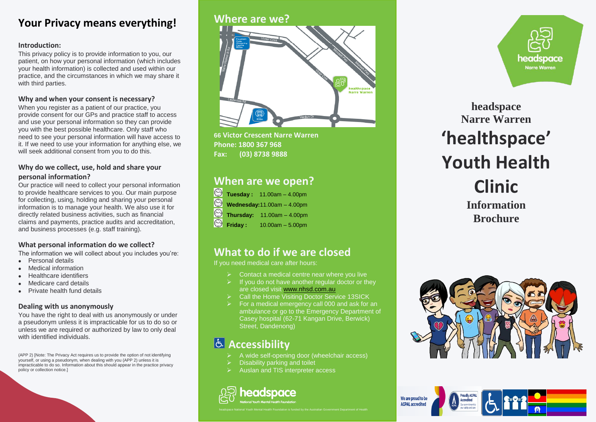# **Your Privacy means everything!**

#### **Introduction:**

This privacy policy is to provide information to you, our patient, on how your personal information (which includes your health information) is collected and used within our practice, and the circumstances in which we may share it with third parties.

### **Why and when your consent is necessary?**

When you register as a patient of our practice, you provide consent for our GPs and practice staff to access and use your personal information so they can provide you with the best possible healthcare. Only staff who need to see your personal information will have access to it. If we need to use your information for anything else, we will seek additional consent from you to do this.

### **Why do we collect, use, hold and share your personal information?**

Our practice will need to collect your personal information to provide healthcare services to you. Our main purpose for collecting, using, holding and sharing your personal information is to manage your health. We also use it for directly related business activities, such as financial claims and payments, practice audits and accreditation, and business processes (e.g. staff training).

### **What personal information do we collect?**

The information we will collect about you includes you're:

- Personal details
- Medical information
- Healthcare identifiers
- Medicare card details
- Private health fund details

#### **Dealing with us anonymously**

You have the right to deal with us anonymously or under a pseudonym unless it is impracticable for us to do so or unless we are required or authorized by law to only deal with identified individuals.

(APP 2) [Note: The Privacy Act requires us to provide the option of not identifying yourself, or using a pseudonym, when dealing with you (APP 2) unless it is impracticable to do so. Information about this should appear in the practice privacy policy or collection notice.]

## **Where are we?**



**66 Victor Crescent Narre Warren Phone: 1800 367 968 Fax: (03) 8738 9888**

# **When are we open?**

|                                             | $\textcircled{}$ Tuesday: 11.00am - 4.00pm |
|---------------------------------------------|--------------------------------------------|
|                                             | Wednesday:11.00am - 4.00pm                 |
|                                             | <b>Thursday:</b> 11.00am - 4.00pm          |
| $\textcircled{\small{\texttt{S}}}$ Friday : | $10.00am - 5.00pm$                         |

# **What to do if we are closed**

If you need medical care after hours:

- Contact a medical centre near where you live
- If you do not have another regular doctor or they are closed visit [www.nhsd.com.au](http://www.nhsd.com.au/)
- Call the Home Visiting Doctor Service 13SICK
- For a medical emergency call 000 and ask for an ambulance or go to the Emergency Department of Casey hospital (62-71 Kangan Drive, Berwick) Street, Dandenong)

# **Accessibility**

- A wide self-opening door (wheelchair access)
- Disability parking and toilet
- Auslan and TIS interpreter access



headspace National Youth Mental Health Foundation is funded by the Australian Government Department of Health



**headspace Narre Warren 'healthspace' Youth Health Clinic Information Brochure**